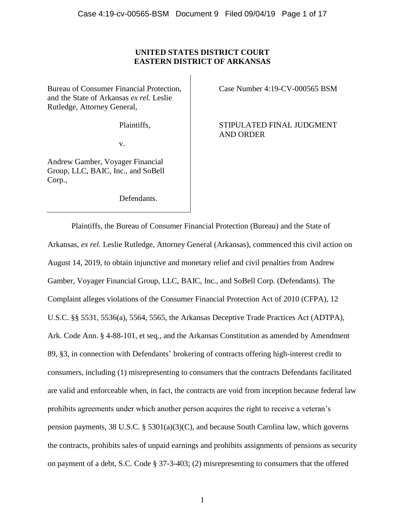# **UNITED STATES DISTRICT COURT EASTERN DISTRICT OF ARKANSAS**

Bureau of Consumer Financial Protection, and the State of Arkansas *ex rel.* Leslie Rutledge, Attorney General,

Plaintiffs,

v.

Andrew Gamber, Voyager Financial Group, LLC, BAIC, Inc., and SoBell Corp.,

Defendants.

Case Number 4:19-CV-000565 BSM

STIPULATED FINAL JUDGMENT AND ORDER

Plaintiffs, the Bureau of Consumer Financial Protection (Bureau) and the State of Arkansas, *ex rel.* Leslie Rutledge, Attorney General (Arkansas), commenced this civil action on August 14, 2019, to obtain injunctive and monetary relief and civil penalties from Andrew Gamber, Voyager Financial Group, LLC, BAIC, Inc., and SoBell Corp. (Defendants). The Complaint alleges violations of the Consumer Financial Protection Act of 2010 (CFPA), 12 U.S.C. §§ 5531, 5536(a), 5564, 5565, the Arkansas Deceptive Trade Practices Act (ADTPA), Ark. Code Ann. § 4-88-101, et seq., and the Arkansas Constitution as amended by Amendment 89, §3, in connection with Defendants' brokering of contracts offering high-interest credit to consumers, including (1) misrepresenting to consumers that the contracts Defendants facilitated are valid and enforceable when, in fact, the contracts are void from inception because federal law prohibits agreements under which another person acquires the right to receive a veteran's pension payments, 38 U.S.C.  $\S$  5301(a)(3)(C), and because South Carolina law, which governs the contracts, prohibits sales of unpaid earnings and prohibits assignments of pensions as security on payment of a debt, S.C. Code § 37-3-403; (2) misrepresenting to consumers that the offered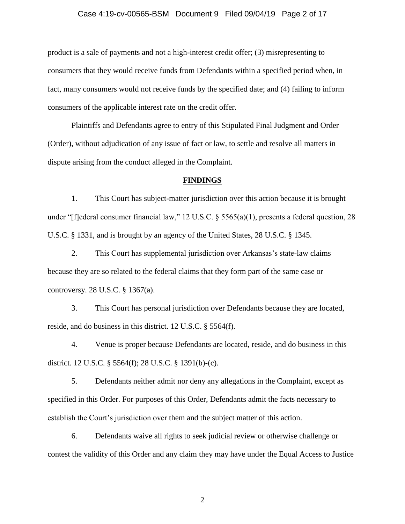#### Case 4:19-cv-00565-BSM Document 9 Filed 09/04/19 Page 2 of 17

product is a sale of payments and not a high-interest credit offer; (3) misrepresenting to consumers that they would receive funds from Defendants within a specified period when, in fact, many consumers would not receive funds by the specified date; and (4) failing to inform consumers of the applicable interest rate on the credit offer.

Plaintiffs and Defendants agree to entry of this Stipulated Final Judgment and Order (Order), without adjudication of any issue of fact or law, to settle and resolve all matters in dispute arising from the conduct alleged in the Complaint.

#### **FINDINGS**

1. This Court has subject-matter jurisdiction over this action because it is brought under "[f]ederal consumer financial law," 12 U.S.C. § 5565(a)(1), presents a federal question, 28 U.S.C. § 1331, and is brought by an agency of the United States, 28 U.S.C. § 1345.

2. This Court has supplemental jurisdiction over Arkansas's state-law claims because they are so related to the federal claims that they form part of the same case or controversy. 28 U.S.C. § 1367(a).

3. This Court has personal jurisdiction over Defendants because they are located, reside, and do business in this district. 12 U.S.C. § 5564(f).

4. Venue is proper because Defendants are located, reside, and do business in this district. 12 U.S.C. § 5564(f); 28 U.S.C. § 1391(b)-(c).

5. Defendants neither admit nor deny any allegations in the Complaint, except as specified in this Order. For purposes of this Order, Defendants admit the facts necessary to establish the Court's jurisdiction over them and the subject matter of this action.

6. Defendants waive all rights to seek judicial review or otherwise challenge or contest the validity of this Order and any claim they may have under the Equal Access to Justice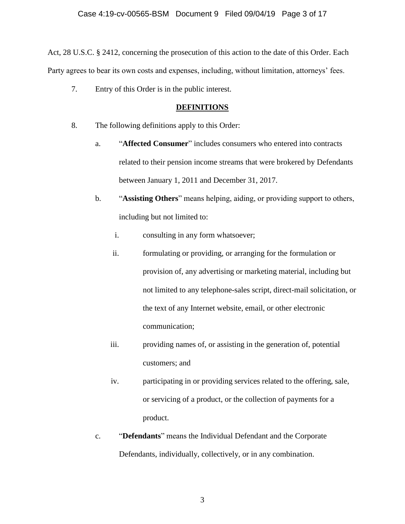# Case 4:19-cv-00565-BSM Document 9 Filed 09/04/19 Page 3 of 17

Act, 28 U.S.C. § 2412, concerning the prosecution of this action to the date of this Order. Each Party agrees to bear its own costs and expenses, including, without limitation, attorneys' fees.

7. Entry of this Order is in the public interest.

## **DEFINITIONS**

- 8. The following definitions apply to this Order:
	- a. "**Affected Consumer**" includes consumers who entered into contracts related to their pension income streams that were brokered by Defendants between January 1, 2011 and December 31, 2017.
	- b. "**Assisting Others**" means helping, aiding, or providing support to others, including but not limited to:
		- i. consulting in any form whatsoever;
		- ii. formulating or providing, or arranging for the formulation or provision of, any advertising or marketing material, including but not limited to any telephone-sales script, direct-mail solicitation, or the text of any Internet website, email, or other electronic communication;
		- iii. providing names of, or assisting in the generation of, potential customers; and
		- iv. participating in or providing services related to the offering, sale, or servicing of a product, or the collection of payments for a product.
	- c. "**Defendants**" means the Individual Defendant and the Corporate Defendants, individually, collectively, or in any combination.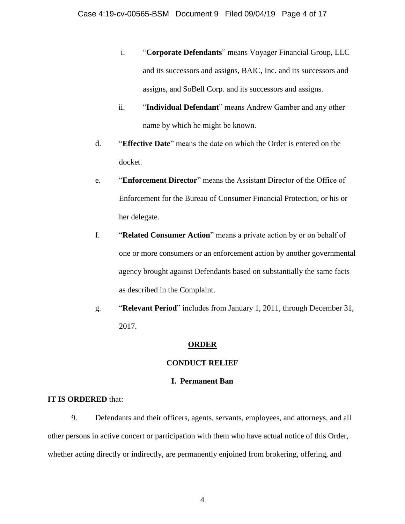- i. "**Corporate Defendants**" means Voyager Financial Group, LLC and its successors and assigns, BAIC, Inc. and its successors and assigns, and SoBell Corp. and its successors and assigns.
- ii. "**Individual Defendant**" means Andrew Gamber and any other name by which he might be known.
- d. "**Effective Date**" means the date on which the Order is entered on the docket.
- e. "**Enforcement Director**" means the Assistant Director of the Office of Enforcement for the Bureau of Consumer Financial Protection, or his or her delegate.
- f. "**Related Consumer Action**" means a private action by or on behalf of one or more consumers or an enforcement action by another governmental agency brought against Defendants based on substantially the same facts as described in the Complaint.
- g. "**Relevant Period**" includes from January 1, 2011, through December 31, 2017.

## **ORDER**

# **CONDUCT RELIEF**

# **I. Permanent Ban**

# **IT IS ORDERED** that:

9. Defendants and their officers, agents, servants, employees, and attorneys, and all other persons in active concert or participation with them who have actual notice of this Order, whether acting directly or indirectly, are permanently enjoined from brokering, offering, and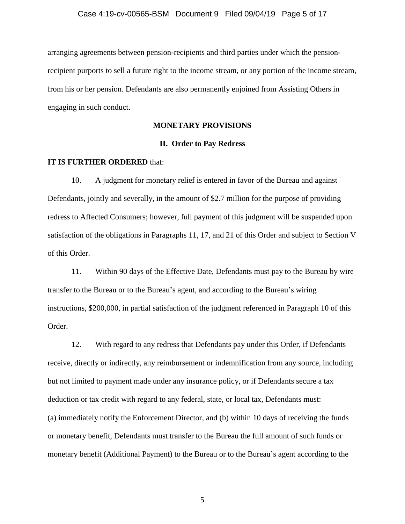arranging agreements between pension-recipients and third parties under which the pensionrecipient purports to sell a future right to the income stream, or any portion of the income stream, from his or her pension. Defendants are also permanently enjoined from Assisting Others in engaging in such conduct.

## **MONETARY PROVISIONS**

## **II. Order to Pay Redress**

#### **IT IS FURTHER ORDERED** that:

10. A judgment for monetary relief is entered in favor of the Bureau and against Defendants, jointly and severally, in the amount of \$2.7 million for the purpose of providing redress to Affected Consumers; however, full payment of this judgment will be suspended upon satisfaction of the obligations in Paragraphs 11, 17, and 21 of this Order and subject to Section V of this Order.

11. Within 90 days of the Effective Date, Defendants must pay to the Bureau by wire transfer to the Bureau or to the Bureau's agent, and according to the Bureau's wiring instructions, \$200,000, in partial satisfaction of the judgment referenced in Paragraph 10 of this Order.

12. With regard to any redress that Defendants pay under this Order, if Defendants receive, directly or indirectly, any reimbursement or indemnification from any source, including but not limited to payment made under any insurance policy, or if Defendants secure a tax deduction or tax credit with regard to any federal, state, or local tax, Defendants must: (a) immediately notify the Enforcement Director, and (b) within 10 days of receiving the funds or monetary benefit, Defendants must transfer to the Bureau the full amount of such funds or monetary benefit (Additional Payment) to the Bureau or to the Bureau's agent according to the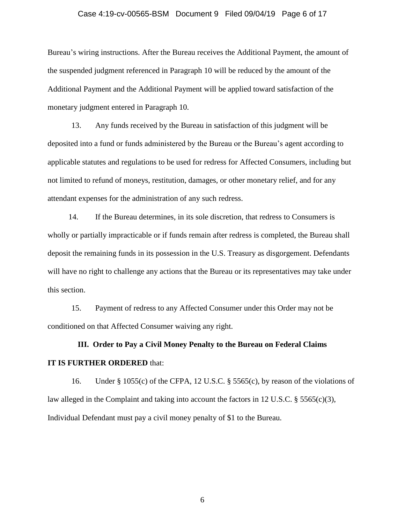#### Case 4:19-cv-00565-BSM Document 9 Filed 09/04/19 Page 6 of 17

Bureau's wiring instructions. After the Bureau receives the Additional Payment, the amount of the suspended judgment referenced in Paragraph 10 will be reduced by the amount of the Additional Payment and the Additional Payment will be applied toward satisfaction of the monetary judgment entered in Paragraph 10.

13. Any funds received by the Bureau in satisfaction of this judgment will be deposited into a fund or funds administered by the Bureau or the Bureau's agent according to applicable statutes and regulations to be used for redress for Affected Consumers, including but not limited to refund of moneys, restitution, damages, or other monetary relief, and for any attendant expenses for the administration of any such redress.

14. If the Bureau determines, in its sole discretion, that redress to Consumers is wholly or partially impracticable or if funds remain after redress is completed, the Bureau shall deposit the remaining funds in its possession in the U.S. Treasury as disgorgement. Defendants will have no right to challenge any actions that the Bureau or its representatives may take under this section.

15. Payment of redress to any Affected Consumer under this Order may not be conditioned on that Affected Consumer waiving any right.

# **III. Order to Pay a Civil Money Penalty to the Bureau on Federal Claims IT IS FURTHER ORDERED** that:

16. Under § 1055(c) of the CFPA, 12 U.S.C. § 5565(c), by reason of the violations of law alleged in the Complaint and taking into account the factors in 12 U.S.C.  $\S$  5565(c)(3), Individual Defendant must pay a civil money penalty of \$1 to the Bureau.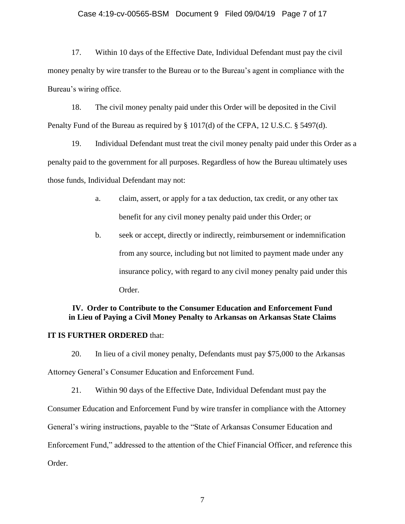## Case 4:19-cv-00565-BSM Document 9 Filed 09/04/19 Page 7 of 17

17. Within 10 days of the Effective Date, Individual Defendant must pay the civil money penalty by wire transfer to the Bureau or to the Bureau's agent in compliance with the Bureau's wiring office.

18. The civil money penalty paid under this Order will be deposited in the Civil Penalty Fund of the Bureau as required by § 1017(d) of the CFPA, 12 U.S.C. § 5497(d).

19. Individual Defendant must treat the civil money penalty paid under this Order as a penalty paid to the government for all purposes. Regardless of how the Bureau ultimately uses those funds, Individual Defendant may not:

- a. claim, assert, or apply for a tax deduction, tax credit, or any other tax benefit for any civil money penalty paid under this Order; or
- b. seek or accept, directly or indirectly, reimbursement or indemnification from any source, including but not limited to payment made under any insurance policy, with regard to any civil money penalty paid under this Order.

# **IV. Order to Contribute to the Consumer Education and Enforcement Fund in Lieu of Paying a Civil Money Penalty to Arkansas on Arkansas State Claims**

## **IT IS FURTHER ORDERED** that:

20. In lieu of a civil money penalty, Defendants must pay \$75,000 to the Arkansas Attorney General's Consumer Education and Enforcement Fund.

21. Within 90 days of the Effective Date, Individual Defendant must pay the Consumer Education and Enforcement Fund by wire transfer in compliance with the Attorney General's wiring instructions, payable to the "State of Arkansas Consumer Education and Enforcement Fund," addressed to the attention of the Chief Financial Officer, and reference this Order.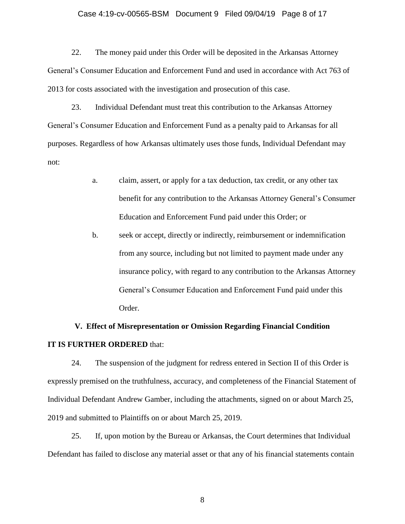#### Case 4:19-cv-00565-BSM Document 9 Filed 09/04/19 Page 8 of 17

22. The money paid under this Order will be deposited in the Arkansas Attorney General's Consumer Education and Enforcement Fund and used in accordance with Act 763 of 2013 for costs associated with the investigation and prosecution of this case.

23. Individual Defendant must treat this contribution to the Arkansas Attorney General's Consumer Education and Enforcement Fund as a penalty paid to Arkansas for all purposes. Regardless of how Arkansas ultimately uses those funds, Individual Defendant may not:

- a. claim, assert, or apply for a tax deduction, tax credit, or any other tax benefit for any contribution to the Arkansas Attorney General's Consumer Education and Enforcement Fund paid under this Order; or
- b. seek or accept, directly or indirectly, reimbursement or indemnification from any source, including but not limited to payment made under any insurance policy, with regard to any contribution to the Arkansas Attorney General's Consumer Education and Enforcement Fund paid under this Order.

# **V. Effect of Misrepresentation or Omission Regarding Financial Condition IT IS FURTHER ORDERED** that:

24. The suspension of the judgment for redress entered in Section II of this Order is expressly premised on the truthfulness, accuracy, and completeness of the Financial Statement of Individual Defendant Andrew Gamber, including the attachments, signed on or about March 25, 2019 and submitted to Plaintiffs on or about March 25, 2019.

25. If, upon motion by the Bureau or Arkansas, the Court determines that Individual Defendant has failed to disclose any material asset or that any of his financial statements contain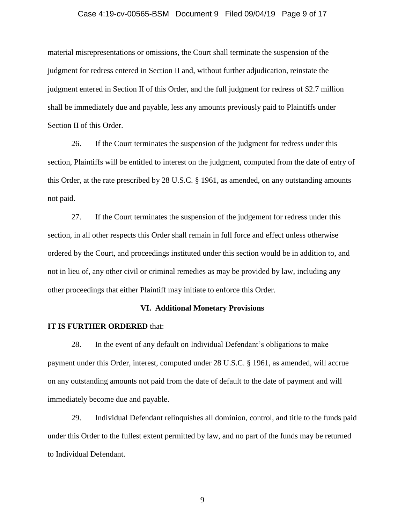#### Case 4:19-cv-00565-BSM Document 9 Filed 09/04/19 Page 9 of 17

material misrepresentations or omissions, the Court shall terminate the suspension of the judgment for redress entered in Section II and, without further adjudication, reinstate the judgment entered in Section II of this Order, and the full judgment for redress of \$2.7 million shall be immediately due and payable, less any amounts previously paid to Plaintiffs under Section II of this Order.

26. If the Court terminates the suspension of the judgment for redress under this section, Plaintiffs will be entitled to interest on the judgment, computed from the date of entry of this Order, at the rate prescribed by 28 U.S.C. § 1961, as amended, on any outstanding amounts not paid.

27. If the Court terminates the suspension of the judgement for redress under this section, in all other respects this Order shall remain in full force and effect unless otherwise ordered by the Court, and proceedings instituted under this section would be in addition to, and not in lieu of, any other civil or criminal remedies as may be provided by law, including any other proceedings that either Plaintiff may initiate to enforce this Order.

#### **VI. Additional Monetary Provisions**

#### **IT IS FURTHER ORDERED** that:

28. In the event of any default on Individual Defendant's obligations to make payment under this Order, interest, computed under 28 U.S.C. § 1961, as amended, will accrue on any outstanding amounts not paid from the date of default to the date of payment and will immediately become due and payable.

29. Individual Defendant relinquishes all dominion, control, and title to the funds paid under this Order to the fullest extent permitted by law, and no part of the funds may be returned to Individual Defendant.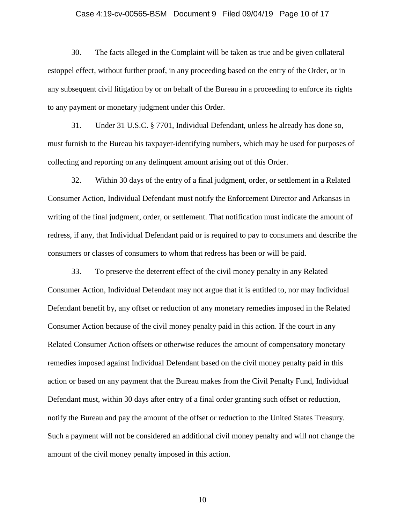#### Case 4:19-cv-00565-BSM Document 9 Filed 09/04/19 Page 10 of 17

30. The facts alleged in the Complaint will be taken as true and be given collateral estoppel effect, without further proof, in any proceeding based on the entry of the Order, or in any subsequent civil litigation by or on behalf of the Bureau in a proceeding to enforce its rights to any payment or monetary judgment under this Order.

31. Under 31 U.S.C. § 7701, Individual Defendant, unless he already has done so, must furnish to the Bureau his taxpayer-identifying numbers, which may be used for purposes of collecting and reporting on any delinquent amount arising out of this Order.

32. Within 30 days of the entry of a final judgment, order, or settlement in a Related Consumer Action, Individual Defendant must notify the Enforcement Director and Arkansas in writing of the final judgment, order, or settlement. That notification must indicate the amount of redress, if any, that Individual Defendant paid or is required to pay to consumers and describe the consumers or classes of consumers to whom that redress has been or will be paid.

33. To preserve the deterrent effect of the civil money penalty in any Related Consumer Action, Individual Defendant may not argue that it is entitled to, nor may Individual Defendant benefit by, any offset or reduction of any monetary remedies imposed in the Related Consumer Action because of the civil money penalty paid in this action. If the court in any Related Consumer Action offsets or otherwise reduces the amount of compensatory monetary remedies imposed against Individual Defendant based on the civil money penalty paid in this action or based on any payment that the Bureau makes from the Civil Penalty Fund, Individual Defendant must, within 30 days after entry of a final order granting such offset or reduction, notify the Bureau and pay the amount of the offset or reduction to the United States Treasury. Such a payment will not be considered an additional civil money penalty and will not change the amount of the civil money penalty imposed in this action.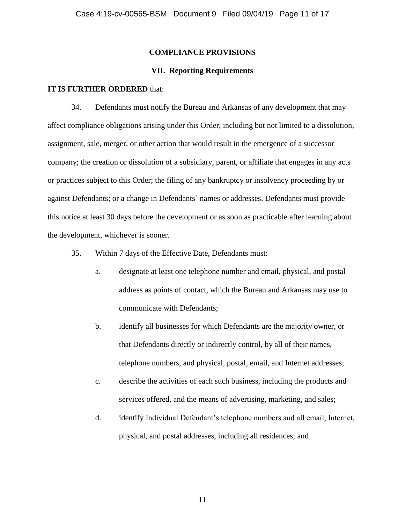## **COMPLIANCE PROVISIONS**

## **VII. Reporting Requirements**

#### **IT IS FURTHER ORDERED** that:

34. Defendants must notify the Bureau and Arkansas of any development that may affect compliance obligations arising under this Order, including but not limited to a dissolution, assignment, sale, merger, or other action that would result in the emergence of a successor company; the creation or dissolution of a subsidiary, parent, or affiliate that engages in any acts or practices subject to this Order; the filing of any bankruptcy or insolvency proceeding by or against Defendants; or a change in Defendants' names or addresses. Defendants must provide this notice at least 30 days before the development or as soon as practicable after learning about the development, whichever is sooner.

- 35. Within 7 days of the Effective Date, Defendants must:
	- a. designate at least one telephone number and email, physical, and postal address as points of contact, which the Bureau and Arkansas may use to communicate with Defendants;
	- b. identify all businesses for which Defendants are the majority owner, or that Defendants directly or indirectly control, by all of their names, telephone numbers, and physical, postal, email, and Internet addresses;
	- c. describe the activities of each such business, including the products and services offered, and the means of advertising, marketing, and sales;
	- d. identify Individual Defendant's telephone numbers and all email, Internet, physical, and postal addresses, including all residences; and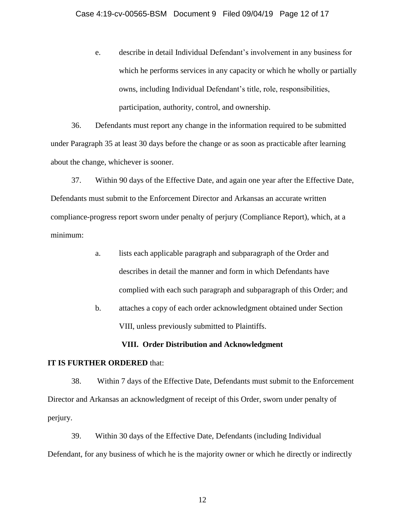e. describe in detail Individual Defendant's involvement in any business for which he performs services in any capacity or which he wholly or partially owns, including Individual Defendant's title, role, responsibilities, participation, authority, control, and ownership.

36. Defendants must report any change in the information required to be submitted under Paragraph 35 at least 30 days before the change or as soon as practicable after learning about the change, whichever is sooner.

37. Within 90 days of the Effective Date, and again one year after the Effective Date, Defendants must submit to the Enforcement Director and Arkansas an accurate written compliance-progress report sworn under penalty of perjury (Compliance Report), which, at a minimum:

- a. lists each applicable paragraph and subparagraph of the Order and describes in detail the manner and form in which Defendants have complied with each such paragraph and subparagraph of this Order; and
- b. attaches a copy of each order acknowledgment obtained under Section VIII, unless previously submitted to Plaintiffs.

# **VIII. Order Distribution and Acknowledgment**

## **IT IS FURTHER ORDERED** that:

38. Within 7 days of the Effective Date, Defendants must submit to the Enforcement Director and Arkansas an acknowledgment of receipt of this Order, sworn under penalty of perjury.

39. Within 30 days of the Effective Date, Defendants (including Individual Defendant, for any business of which he is the majority owner or which he directly or indirectly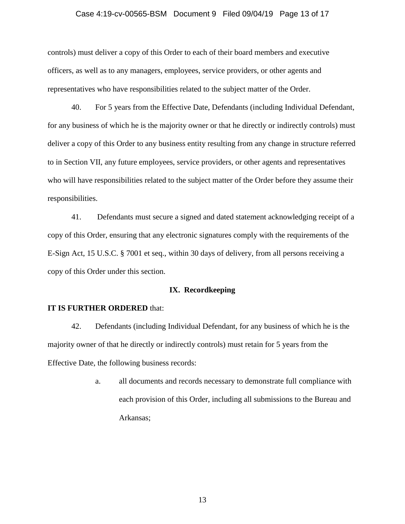#### Case 4:19-cv-00565-BSM Document 9 Filed 09/04/19 Page 13 of 17

controls) must deliver a copy of this Order to each of their board members and executive officers, as well as to any managers, employees, service providers, or other agents and representatives who have responsibilities related to the subject matter of the Order.

40. For 5 years from the Effective Date, Defendants (including Individual Defendant, for any business of which he is the majority owner or that he directly or indirectly controls) must deliver a copy of this Order to any business entity resulting from any change in structure referred to in Section VII, any future employees, service providers, or other agents and representatives who will have responsibilities related to the subject matter of the Order before they assume their responsibilities.

41. Defendants must secure a signed and dated statement acknowledging receipt of a copy of this Order, ensuring that any electronic signatures comply with the requirements of the E-Sign Act, 15 U.S.C. § 7001 et seq., within 30 days of delivery, from all persons receiving a copy of this Order under this section.

## **IX. Recordkeeping**

#### **IT IS FURTHER ORDERED** that:

42. Defendants (including Individual Defendant, for any business of which he is the majority owner of that he directly or indirectly controls) must retain for 5 years from the Effective Date, the following business records:

> a. all documents and records necessary to demonstrate full compliance with each provision of this Order, including all submissions to the Bureau and Arkansas;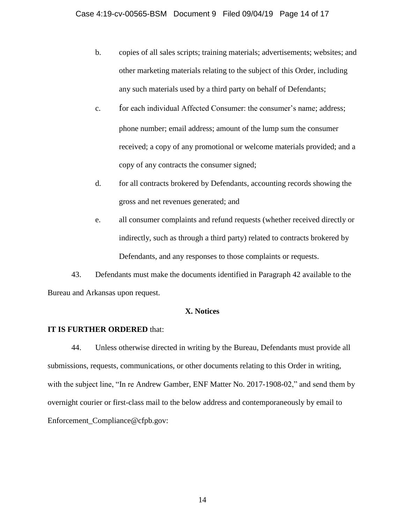- b. copies of all sales scripts; training materials; advertisements; websites; and other marketing materials relating to the subject of this Order, including any such materials used by a third party on behalf of Defendants;
- c. for each individual Affected Consumer: the consumer's name; address; phone number; email address; amount of the lump sum the consumer received; a copy of any promotional or welcome materials provided; and a copy of any contracts the consumer signed;
- d. for all contracts brokered by Defendants, accounting records showing the gross and net revenues generated; and
- e. all consumer complaints and refund requests (whether received directly or indirectly, such as through a third party) related to contracts brokered by Defendants, and any responses to those complaints or requests.

43. Defendants must make the documents identified in Paragraph 42 available to the Bureau and Arkansas upon request.

# **X. Notices**

# **IT IS FURTHER ORDERED** that:

44. Unless otherwise directed in writing by the Bureau, Defendants must provide all submissions, requests, communications, or other documents relating to this Order in writing, with the subject line, "In re Andrew Gamber, ENF Matter No. 2017-1908-02," and send them by overnight courier or first-class mail to the below address and contemporaneously by email to Enforcement Compliance@cfpb.gov: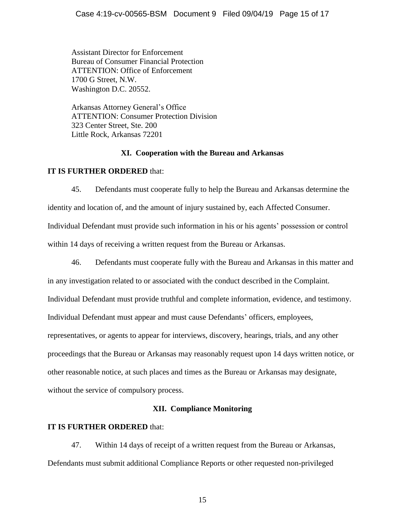Assistant Director for Enforcement Bureau of Consumer Financial Protection ATTENTION: Office of Enforcement 1700 G Street, N.W. Washington D.C. 20552.

Arkansas Attorney General's Office ATTENTION: Consumer Protection Division 323 Center Street, Ste. 200 Little Rock, Arkansas 72201

## **XI. Cooperation with the Bureau and Arkansas**

# **IT IS FURTHER ORDERED** that:

45. Defendants must cooperate fully to help the Bureau and Arkansas determine the identity and location of, and the amount of injury sustained by, each Affected Consumer. Individual Defendant must provide such information in his or his agents' possession or control within 14 days of receiving a written request from the Bureau or Arkansas.

46. Defendants must cooperate fully with the Bureau and Arkansas in this matter and in any investigation related to or associated with the conduct described in the Complaint. Individual Defendant must provide truthful and complete information, evidence, and testimony. Individual Defendant must appear and must cause Defendants' officers, employees, representatives, or agents to appear for interviews, discovery, hearings, trials, and any other proceedings that the Bureau or Arkansas may reasonably request upon 14 days written notice, or other reasonable notice, at such places and times as the Bureau or Arkansas may designate, without the service of compulsory process.

# **XII. Compliance Monitoring**

# **IT IS FURTHER ORDERED** that:

47. Within 14 days of receipt of a written request from the Bureau or Arkansas, Defendants must submit additional Compliance Reports or other requested non-privileged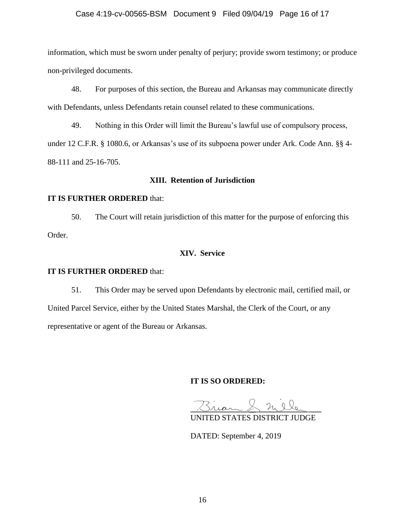## Case 4:19-cv-00565-BSM Document 9 Filed 09/04/19 Page 16 of 17

information, which must be sworn under penalty of perjury; provide sworn testimony; or produce non-privileged documents.

48. For purposes of this section, the Bureau and Arkansas may communicate directly with Defendants, unless Defendants retain counsel related to these communications.

49. Nothing in this Order will limit the Bureau's lawful use of compulsory process, under 12 C.F.R. § 1080.6, or Arkansas's use of its subpoena power under Ark. Code Ann. §§ 4- 88-111 and 25-16-705.

## **XIII. Retention of Jurisdiction**

## **IT IS FURTHER ORDERED** that:

50. The Court will retain jurisdiction of this matter for the purpose of enforcing this Order.

## **XIV. Service**

## **IT IS FURTHER ORDERED** that:

51. This Order may be served upon Defendants by electronic mail, certified mail, or United Parcel Service, either by the United States Marshal, the Clerk of the Court, or any representative or agent of the Bureau or Arkansas.

# **IT IS SO ORDERED:**

 $\triangle$  ride

UNITED STATES DISTRICT JUDGE

DATED: September 4, 2019